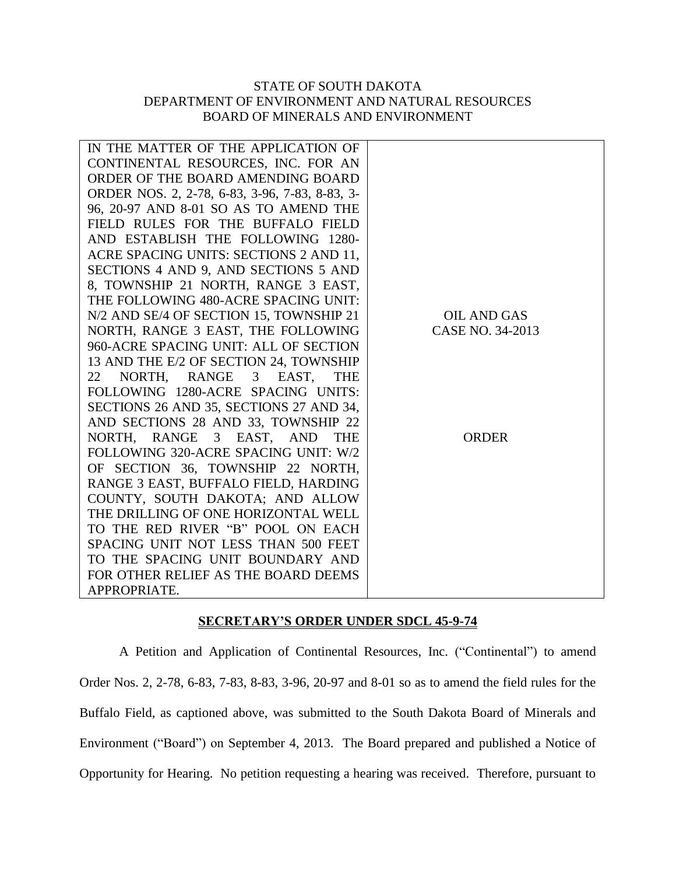## STATE OF SOUTH DAKOTA DEPARTMENT OF ENVIRONMENT AND NATURAL RESOURCES BOARD OF MINERALS AND ENVIRONMENT

| IN THE MATTER OF THE APPLICATION OF            |                    |
|------------------------------------------------|--------------------|
| CONTINENTAL RESOURCES, INC. FOR AN             |                    |
| ORDER OF THE BOARD AMENDING BOARD              |                    |
| ORDER NOS. 2, 2-78, 6-83, 3-96, 7-83, 8-83, 3- |                    |
| 96, 20-97 AND 8-01 SO AS TO AMEND THE          |                    |
| FIELD RULES FOR THE BUFFALO FIELD              |                    |
| AND ESTABLISH THE FOLLOWING 1280-              |                    |
| ACRE SPACING UNITS: SECTIONS 2 AND 11,         |                    |
| SECTIONS 4 AND 9, AND SECTIONS 5 AND           |                    |
| 8, TOWNSHIP 21 NORTH, RANGE 3 EAST,            |                    |
| THE FOLLOWING 480-ACRE SPACING UNIT:           |                    |
| N/2 AND SE/4 OF SECTION 15, TOWNSHIP 21        | <b>OIL AND GAS</b> |
| NORTH, RANGE 3 EAST, THE FOLLOWING             | CASE NO. 34-2013   |
| 960-ACRE SPACING UNIT: ALL OF SECTION          |                    |
| 13 AND THE E/2 OF SECTION 24, TOWNSHIP         |                    |
| NORTH, RANGE 3 EAST,<br>22<br><b>THE</b>       |                    |
| FOLLOWING 1280-ACRE SPACING UNITS:             |                    |
| SECTIONS 26 AND 35, SECTIONS 27 AND 34,        |                    |
| AND SECTIONS 28 AND 33, TOWNSHIP 22            |                    |
| NORTH, RANGE 3 EAST, AND<br><b>THE</b>         | <b>ORDER</b>       |
| FOLLOWING 320-ACRE SPACING UNIT: W/2           |                    |
| OF SECTION 36, TOWNSHIP 22 NORTH,              |                    |
| RANGE 3 EAST, BUFFALO FIELD, HARDING           |                    |
| COUNTY, SOUTH DAKOTA; AND ALLOW                |                    |
| THE DRILLING OF ONE HORIZONTAL WELL            |                    |
| TO THE RED RIVER "B" POOL ON EACH              |                    |
| SPACING UNIT NOT LESS THAN 500 FEET            |                    |
| TO THE SPACING UNIT BOUNDARY AND               |                    |
| FOR OTHER RELIEF AS THE BOARD DEEMS            |                    |
| APPROPRIATE.                                   |                    |

## **SECRETARY'S ORDER UNDER SDCL 45-9-74**

A Petition and Application of Continental Resources, Inc. ("Continental") to amend Order Nos. 2, 2-78, 6-83, 7-83, 8-83, 3-96, 20-97 and 8-01 so as to amend the field rules for the Buffalo Field, as captioned above, was submitted to the South Dakota Board of Minerals and Environment ("Board") on September 4, 2013. The Board prepared and published a Notice of Opportunity for Hearing. No petition requesting a hearing was received. Therefore, pursuant to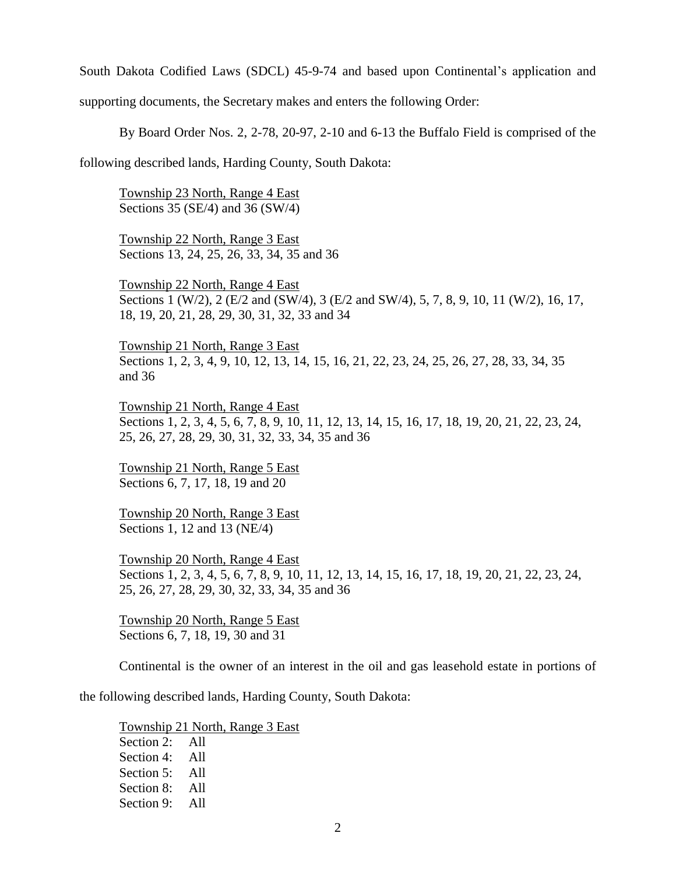South Dakota Codified Laws (SDCL) 45-9-74 and based upon Continental's application and supporting documents, the Secretary makes and enters the following Order:

By Board Order Nos. 2, 2-78, 20-97, 2-10 and 6-13 the Buffalo Field is comprised of the

following described lands, Harding County, South Dakota:

Township 23 North, Range 4 East Sections 35 (SE/4) and 36 (SW/4)

Township 22 North, Range 3 East Sections 13, 24, 25, 26, 33, 34, 35 and 36

Township 22 North, Range 4 East Sections 1 (W/2), 2 (E/2 and (SW/4), 3 (E/2 and SW/4), 5, 7, 8, 9, 10, 11 (W/2), 16, 17, 18, 19, 20, 21, 28, 29, 30, 31, 32, 33 and 34

Township 21 North, Range 3 East Sections 1, 2, 3, 4, 9, 10, 12, 13, 14, 15, 16, 21, 22, 23, 24, 25, 26, 27, 28, 33, 34, 35 and 36

Township 21 North, Range 4 East Sections 1, 2, 3, 4, 5, 6, 7, 8, 9, 10, 11, 12, 13, 14, 15, 16, 17, 18, 19, 20, 21, 22, 23, 24, 25, 26, 27, 28, 29, 30, 31, 32, 33, 34, 35 and 36

Township 21 North, Range 5 East Sections 6, 7, 17, 18, 19 and 20

Township 20 North, Range 3 East Sections 1, 12 and 13 (NE/4)

Township 20 North, Range 4 East Sections 1, 2, 3, 4, 5, 6, 7, 8, 9, 10, 11, 12, 13, 14, 15, 16, 17, 18, 19, 20, 21, 22, 23, 24, 25, 26, 27, 28, 29, 30, 32, 33, 34, 35 and 36

Township 20 North, Range 5 East Sections 6, 7, 18, 19, 30 and 31

Continental is the owner of an interest in the oil and gas leasehold estate in portions of

the following described lands, Harding County, South Dakota:

Township 21 North, Range 3 East Section 2: All Section 4: All Section 5: All Section 8: All Section 9: All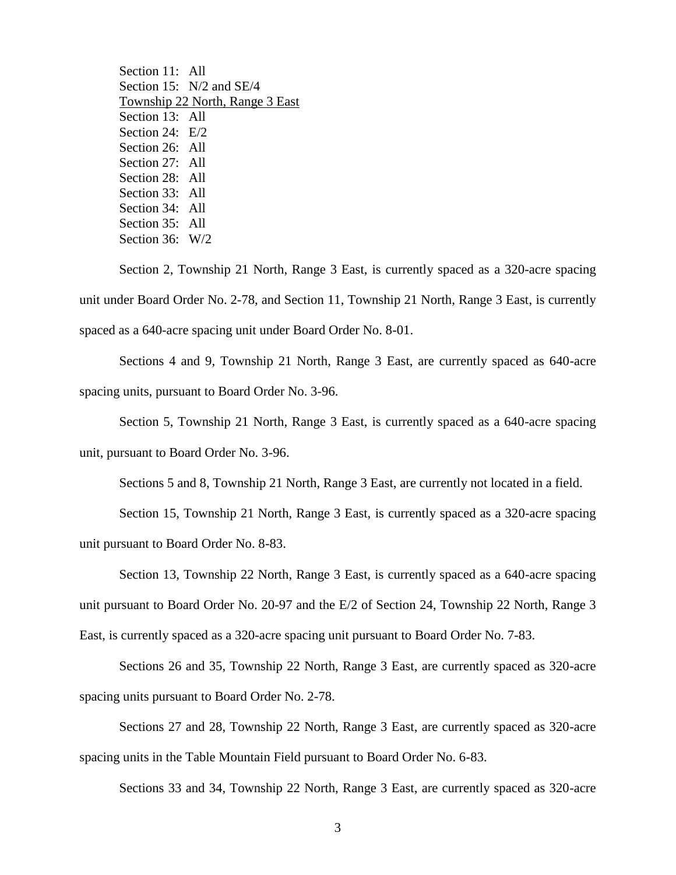Section 11: All Section 15: N/2 and SE/4 Township 22 North, Range 3 East Section 13: All Section 24: E/2 Section 26: All Section 27: All Section 28: All Section 33: All Section 34: All Section 35: All Section 36: W/2

Section 2, Township 21 North, Range 3 East, is currently spaced as a 320-acre spacing unit under Board Order No. 2-78, and Section 11, Township 21 North, Range 3 East, is currently spaced as a 640-acre spacing unit under Board Order No. 8-01.

Sections 4 and 9, Township 21 North, Range 3 East, are currently spaced as 640-acre spacing units, pursuant to Board Order No. 3-96.

Section 5, Township 21 North, Range 3 East, is currently spaced as a 640-acre spacing unit, pursuant to Board Order No. 3-96.

Sections 5 and 8, Township 21 North, Range 3 East, are currently not located in a field.

Section 15, Township 21 North, Range 3 East, is currently spaced as a 320-acre spacing unit pursuant to Board Order No. 8-83.

Section 13, Township 22 North, Range 3 East, is currently spaced as a 640-acre spacing unit pursuant to Board Order No. 20-97 and the E/2 of Section 24, Township 22 North, Range 3 East, is currently spaced as a 320-acre spacing unit pursuant to Board Order No. 7-83.

Sections 26 and 35, Township 22 North, Range 3 East, are currently spaced as 320-acre spacing units pursuant to Board Order No. 2-78.

Sections 27 and 28, Township 22 North, Range 3 East, are currently spaced as 320-acre spacing units in the Table Mountain Field pursuant to Board Order No. 6-83.

Sections 33 and 34, Township 22 North, Range 3 East, are currently spaced as 320-acre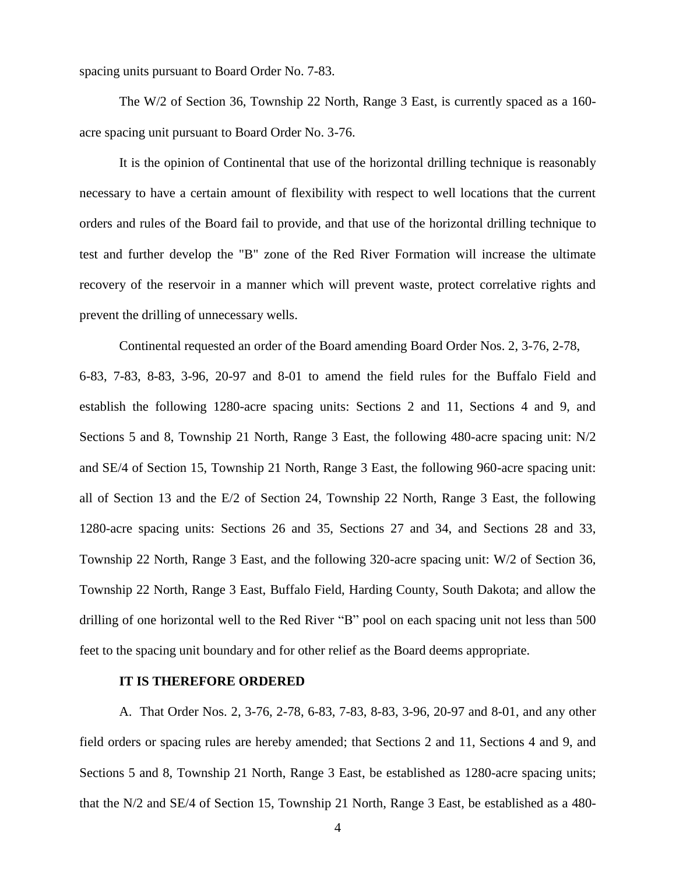spacing units pursuant to Board Order No. 7-83.

The W/2 of Section 36, Township 22 North, Range 3 East, is currently spaced as a 160 acre spacing unit pursuant to Board Order No. 3-76.

It is the opinion of Continental that use of the horizontal drilling technique is reasonably necessary to have a certain amount of flexibility with respect to well locations that the current orders and rules of the Board fail to provide, and that use of the horizontal drilling technique to test and further develop the "B" zone of the Red River Formation will increase the ultimate recovery of the reservoir in a manner which will prevent waste, protect correlative rights and prevent the drilling of unnecessary wells.

Continental requested an order of the Board amending Board Order Nos. 2, 3-76, 2-78, 6-83, 7-83, 8-83, 3-96, 20-97 and 8-01 to amend the field rules for the Buffalo Field and establish the following 1280-acre spacing units: Sections 2 and 11, Sections 4 and 9, and Sections 5 and 8, Township 21 North, Range 3 East, the following 480-acre spacing unit: N/2 and SE/4 of Section 15, Township 21 North, Range 3 East, the following 960-acre spacing unit: all of Section 13 and the E/2 of Section 24, Township 22 North, Range 3 East, the following 1280-acre spacing units: Sections 26 and 35, Sections 27 and 34, and Sections 28 and 33, Township 22 North, Range 3 East, and the following 320-acre spacing unit: W/2 of Section 36, Township 22 North, Range 3 East, Buffalo Field, Harding County, South Dakota; and allow the drilling of one horizontal well to the Red River "B" pool on each spacing unit not less than 500 feet to the spacing unit boundary and for other relief as the Board deems appropriate.

## **IT IS THEREFORE ORDERED**

A. That Order Nos. 2, 3-76, 2-78, 6-83, 7-83, 8-83, 3-96, 20-97 and 8-01, and any other field orders or spacing rules are hereby amended; that Sections 2 and 11, Sections 4 and 9, and Sections 5 and 8, Township 21 North, Range 3 East, be established as 1280-acre spacing units; that the N/2 and SE/4 of Section 15, Township 21 North, Range 3 East, be established as a 480